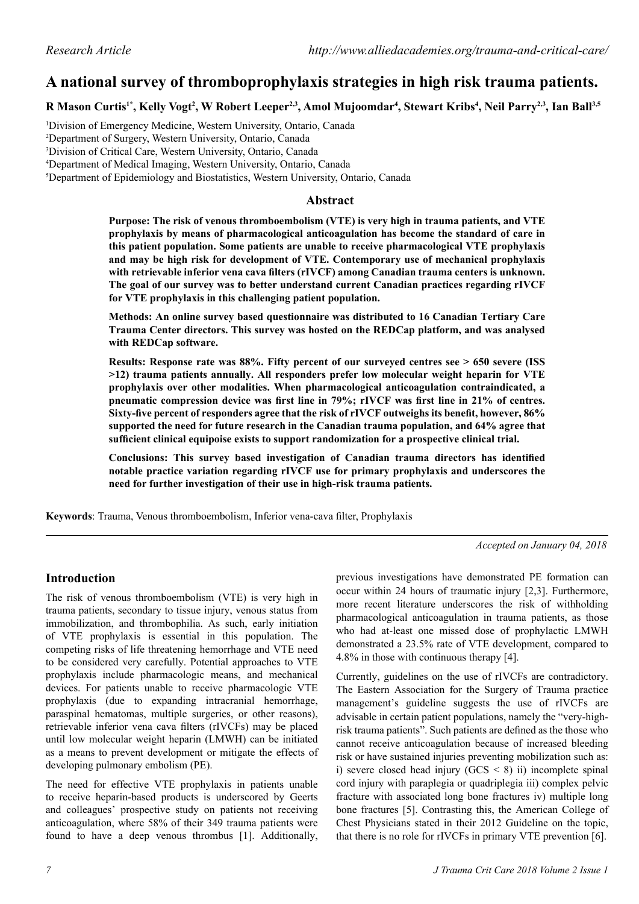# **A national survey of thromboprophylaxis strategies in high risk trauma patients.**

**R Mason Curtis1\*, Kelly Vogt<sup>2</sup> , W Robert Leeper2,3, Amol Mujoomdar4 , Stewart Kribs4 , Neil Parry2,3, Ian Ball3,5**

 Division of Emergency Medicine, Western University, Ontario, Canada Department of Surgery, Western University, Ontario, Canada Division of Critical Care, Western University, Ontario, Canada Department of Medical Imaging, Western University, Ontario, Canada Department of Epidemiology and Biostatistics, Western University, Ontario, Canada

### **Abstract**

**Purpose: The risk of venous thromboembolism (VTE) is very high in trauma patients, and VTE prophylaxis by means of pharmacological anticoagulation has become the standard of care in this patient population. Some patients are unable to receive pharmacological VTE prophylaxis and may be high risk for development of VTE. Contemporary use of mechanical prophylaxis with retrievable inferior vena cava filters (rIVCF) among Canadian trauma centers is unknown. The goal of our survey was to better understand current Canadian practices regarding rIVCF for VTE prophylaxis in this challenging patient population.**

**Methods: An online survey based questionnaire was distributed to 16 Canadian Tertiary Care Trauma Center directors. This survey was hosted on the REDCap platform, and was analysed with REDCap software.**

**Results: Response rate was 88%. Fifty percent of our surveyed centres see > 650 severe (ISS >12) trauma patients annually. All responders prefer low molecular weight heparin for VTE prophylaxis over other modalities. When pharmacological anticoagulation contraindicated, a pneumatic compression device was first line in 79%; rIVCF was first line in 21% of centres. Sixty-five percent of responders agree that the risk of rIVCF outweighs its benefit, however, 86% supported the need for future research in the Canadian trauma population, and 64% agree that sufficient clinical equipoise exists to support randomization for a prospective clinical trial.**

**Conclusions: This survey based investigation of Canadian trauma directors has identified notable practice variation regarding rIVCF use for primary prophylaxis and underscores the need for further investigation of their use in high-risk trauma patients.**

**Keywords**: Trauma, Venous thromboembolism, Inferior vena-cava filter, Prophylaxis

*Accepted on January 04, 2018*

# **Introduction**

The risk of venous thromboembolism (VTE) is very high in trauma patients, secondary to tissue injury, venous status from immobilization, and thrombophilia. As such, early initiation of VTE prophylaxis is essential in this population. The competing risks of life threatening hemorrhage and VTE need to be considered very carefully. Potential approaches to VTE prophylaxis include pharmacologic means, and mechanical devices. For patients unable to receive pharmacologic VTE prophylaxis (due to expanding intracranial hemorrhage, paraspinal hematomas, multiple surgeries, or other reasons), retrievable inferior vena cava filters (rIVCFs) may be placed until low molecular weight heparin (LMWH) can be initiated as a means to prevent development or mitigate the effects of developing pulmonary embolism (PE).

The need for effective VTE prophylaxis in patients unable to receive heparin-based products is underscored by Geerts and colleagues' prospective study on patients not receiving anticoagulation, where 58% of their 349 trauma patients were found to have a deep venous thrombus [1]. Additionally, previous investigations have demonstrated PE formation can occur within 24 hours of traumatic injury [2,3]. Furthermore, more recent literature underscores the risk of withholding pharmacological anticoagulation in trauma patients, as those who had at-least one missed dose of prophylactic LMWH demonstrated a 23.5% rate of VTE development, compared to 4.8% in those with continuous therapy [4].

Currently, guidelines on the use of rIVCFs are contradictory. The Eastern Association for the Surgery of Trauma practice management's guideline suggests the use of rIVCFs are advisable in certain patient populations, namely the "very-highrisk trauma patients". Such patients are defined as the those who cannot receive anticoagulation because of increased bleeding risk or have sustained injuries preventing mobilization such as: i) severe closed head injury  $(GCS \le 8)$  ii) incomplete spinal cord injury with paraplegia or quadriplegia iii) complex pelvic fracture with associated long bone fractures iv) multiple long bone fractures [5]. Contrasting this, the American College of Chest Physicians stated in their 2012 Guideline on the topic, that there is no role for rIVCFs in primary VTE prevention [6].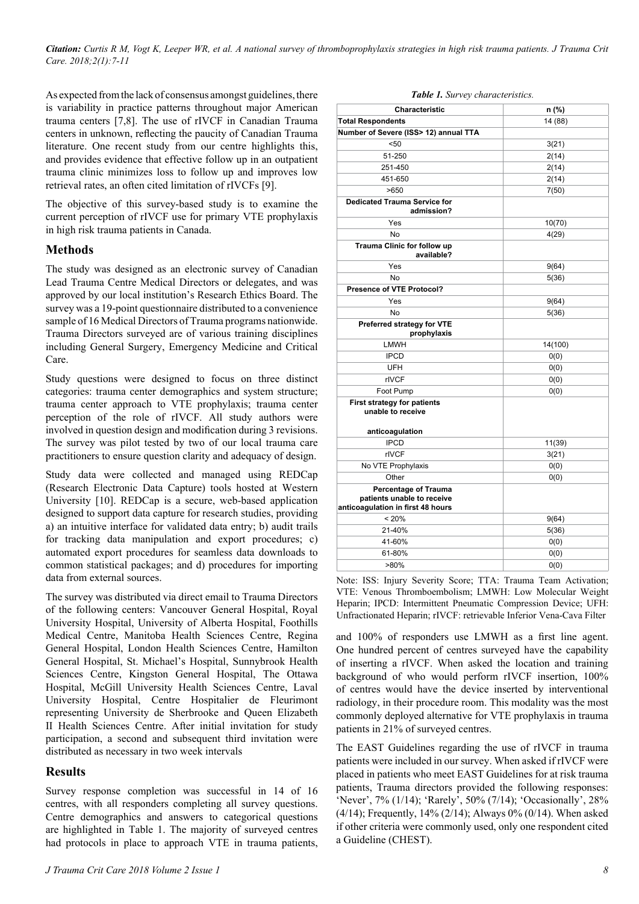*Citation: Curtis R M, Vogt K, Leeper WR, et al. A national survey of thromboprophylaxis strategies in high risk trauma patients. J Trauma Crit Care. 2018;2(1):7-11*

As expected from the lack of consensus amongst guidelines, there is variability in practice patterns throughout major American trauma centers [7,8]. The use of rIVCF in Canadian Trauma centers in unknown, reflecting the paucity of Canadian Trauma literature. One recent study from our centre highlights this, and provides evidence that effective follow up in an outpatient trauma clinic minimizes loss to follow up and improves low retrieval rates, an often cited limitation of rIVCFs [9].

The objective of this survey-based study is to examine the current perception of rIVCF use for primary VTE prophylaxis in high risk trauma patients in Canada.

### **Methods**

The study was designed as an electronic survey of Canadian Lead Trauma Centre Medical Directors or delegates, and was approved by our local institution's Research Ethics Board. The survey was a 19-point questionnaire distributed to a convenience sample of 16 Medical Directors of Trauma programs nationwide. Trauma Directors surveyed are of various training disciplines including General Surgery, Emergency Medicine and Critical Care.

Study questions were designed to focus on three distinct categories: trauma center demographics and system structure; trauma center approach to VTE prophylaxis; trauma center perception of the role of rIVCF. All study authors were involved in question design and modification during 3 revisions. The survey was pilot tested by two of our local trauma care practitioners to ensure question clarity and adequacy of design.

Study data were collected and managed using REDCap (Research Electronic Data Capture) tools hosted at Western University [10]. REDCap is a secure, web-based application designed to support data capture for research studies, providing a) an intuitive interface for validated data entry; b) audit trails for tracking data manipulation and export procedures; c) automated export procedures for seamless data downloads to common statistical packages; and d) procedures for importing data from external sources.

The survey was distributed via direct email to Trauma Directors of the following centers: Vancouver General Hospital, Royal University Hospital, University of Alberta Hospital, Foothills Medical Centre, Manitoba Health Sciences Centre, Regina General Hospital, London Health Sciences Centre, Hamilton General Hospital, St. Michael's Hospital, Sunnybrook Health Sciences Centre, Kingston General Hospital, The Ottawa Hospital, McGill University Health Sciences Centre, Laval University Hospital, Centre Hospitalier de Fleurimont representing University de Sherbrooke and Queen Elizabeth II Health Sciences Centre. After initial invitation for study participation, a second and subsequent third invitation were distributed as necessary in two week intervals

### **Results**

Survey response completion was successful in 14 of 16 centres, with all responders completing all survey questions. Centre demographics and answers to categorical questions are highlighted in Table 1. The majority of surveyed centres had protocols in place to approach VTE in trauma patients,

|  |  | Table 1. Survey characteristics. |
|--|--|----------------------------------|
|--|--|----------------------------------|

| Characteristic                                                                                 | n (%)   |  |
|------------------------------------------------------------------------------------------------|---------|--|
| <b>Total Respondents</b>                                                                       | 14 (88) |  |
| Number of Severe (ISS> 12) annual TTA                                                          |         |  |
| < 50                                                                                           | 3(21)   |  |
| 51-250                                                                                         | 2(14)   |  |
| 251-450                                                                                        | 2(14)   |  |
| 451-650                                                                                        | 2(14)   |  |
| >650                                                                                           | 7(50)   |  |
| <b>Dedicated Trauma Service for</b><br>admission?                                              |         |  |
| Yes                                                                                            | 10(70)  |  |
| No                                                                                             | 4(29)   |  |
| Trauma Clinic for follow up<br>available?                                                      |         |  |
| Yes                                                                                            | 9(64)   |  |
| <b>No</b>                                                                                      | 5(36)   |  |
| Presence of VTE Protocol?                                                                      |         |  |
| Yes                                                                                            | 9(64)   |  |
| <b>No</b>                                                                                      | 5(36)   |  |
| Preferred strategy for VTE<br>prophylaxis                                                      |         |  |
| <b>LMWH</b>                                                                                    | 14(100) |  |
| <b>IPCD</b>                                                                                    | 0(0)    |  |
| UFH                                                                                            | 0(0)    |  |
| rIVCF                                                                                          | 0(0)    |  |
| Foot Pump                                                                                      | 0(0)    |  |
| <b>First strategy for patients</b><br>unable to receive                                        |         |  |
| anticoagulation                                                                                |         |  |
| <b>IPCD</b>                                                                                    | 11(39)  |  |
| rIVCF                                                                                          | 3(21)   |  |
| No VTE Prophylaxis                                                                             | 0(0)    |  |
| Other                                                                                          | 0(0)    |  |
| <b>Percentage of Trauma</b><br>patients unable to receive<br>anticoagulation in first 48 hours |         |  |
| < 20%                                                                                          | 9(64)   |  |
| 21-40%                                                                                         | 5(36)   |  |
| 41-60%                                                                                         | 0(0)    |  |
| 61-80%                                                                                         | 0(0)    |  |
| $>80\%$                                                                                        | 0(0)    |  |

Note: ISS: Injury Severity Score; TTA: Trauma Team Activation; VTE: Venous Thromboembolism; LMWH: Low Molecular Weight Heparin; IPCD: Intermittent Pneumatic Compression Device; UFH: Unfractionated Heparin; rIVCF: retrievable Inferior Vena-Cava Filter

and 100% of responders use LMWH as a first line agent. One hundred percent of centres surveyed have the capability of inserting a rIVCF. When asked the location and training background of who would perform rIVCF insertion, 100% of centres would have the device inserted by interventional radiology, in their procedure room. This modality was the most commonly deployed alternative for VTE prophylaxis in trauma patients in 21% of surveyed centres.

The EAST Guidelines regarding the use of rIVCF in trauma patients were included in our survey. When asked if rIVCF were placed in patients who meet EAST Guidelines for at risk trauma patients, Trauma directors provided the following responses: 'Never', 7% (1/14); 'Rarely', 50% (7/14); 'Occasionally', 28% (4/14); Frequently, 14% (2/14); Always 0% (0/14). When asked if other criteria were commonly used, only one respondent cited a Guideline (CHEST).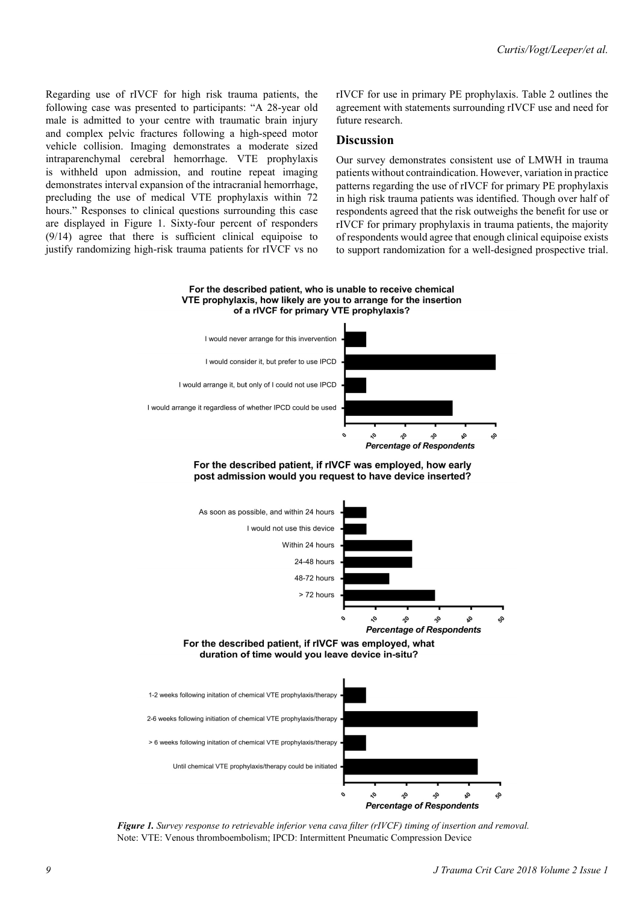Regarding use of rIVCF for high risk trauma patients, the following case was presented to participants: "A 28-year old male is admitted to your centre with traumatic brain injury and complex pelvic fractures following a high-speed motor vehicle collision. Imaging demonstrates a moderate sized intraparenchymal cerebral hemorrhage. VTE prophylaxis is withheld upon admission, and routine repeat imaging demonstrates interval expansion of the intracranial hemorrhage, precluding the use of medical VTE prophylaxis within 72 hours." Responses to clinical questions surrounding this case are displayed in Figure 1. Sixty-four percent of responders (9/14) agree that there is sufficient clinical equipoise to justify randomizing high-risk trauma patients for rIVCF vs no rIVCF for use in primary PE prophylaxis. Table 2 outlines the agreement with statements surrounding rIVCF use and need for future research.

#### **Discussion**

Our survey demonstrates consistent use of LMWH in trauma patients without contraindication. However, variation in practice patterns regarding the use of rIVCF for primary PE prophylaxis in high risk trauma patients was identified. Though over half of respondents agreed that the risk outweighs the benefit for use or rIVCF for primary prophylaxis in trauma patients, the majority of respondents would agree that enough clinical equipoise exists to support randomization for a well-designed prospective trial.

#### For the described patient, who is unable to receive chemical VTE prophylaxis, how likely are you to arrange for the insertion of a rIVCF for primary VTE prophylaxis?



For the described patient, if rIVCF was employed, how early post admission would you request to have device inserted?



*Figure 1. Survey response to retrievable inferior vena cava filter (rIVCF) timing of insertion and removal.*  Note: VTE: Venous thromboembolism; IPCD: Intermittent Pneumatic Compression Device

**Percentage of Respondents**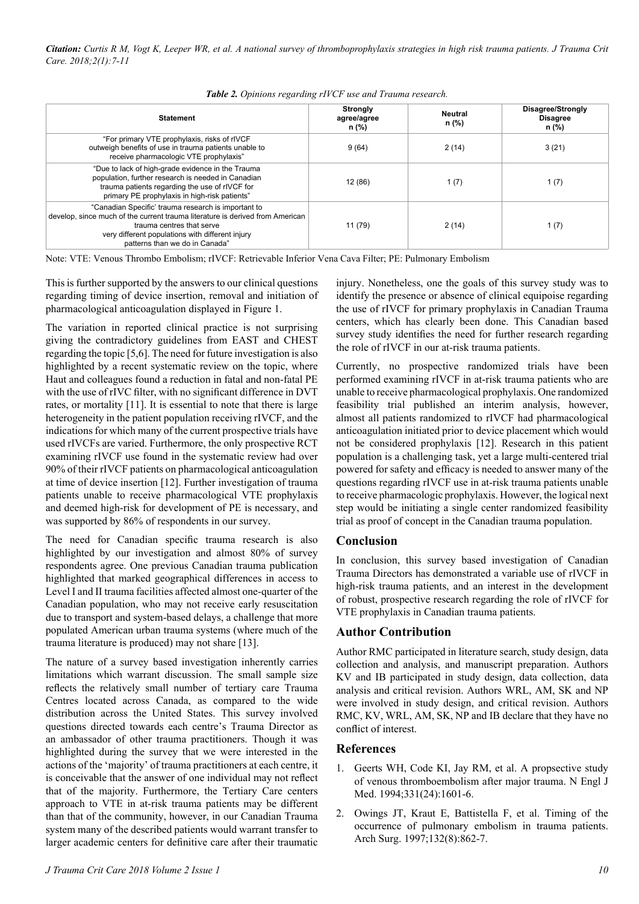| <b>Statement</b>                                                                                                                                                                                                                                        | <b>Strongly</b><br>agree/agree<br>n (%) | <b>Neutral</b><br>n (%) | Disagree/Strongly<br><b>Disagree</b><br>n (%) |
|---------------------------------------------------------------------------------------------------------------------------------------------------------------------------------------------------------------------------------------------------------|-----------------------------------------|-------------------------|-----------------------------------------------|
| "For primary VTE prophylaxis, risks of rIVCF<br>outweigh benefits of use in trauma patients unable to<br>receive pharmacologic VTE prophylaxis"                                                                                                         | 9(64)                                   | 2(14)                   | 3(21)                                         |
| "Due to lack of high-grade evidence in the Trauma<br>population, further research is needed in Canadian<br>trauma patients regarding the use of rIVCF for<br>primary PE prophylaxis in high-risk patients"                                              | 12(86)                                  | 1 $(7)$                 | 1(7)                                          |
| "Canadian Specific' trauma research is important to<br>develop, since much of the current trauma literature is derived from American<br>trauma centres that serve<br>very different populations with different injury<br>patterns than we do in Canada" | 11 (79)                                 | 2(14)                   | 1(7)                                          |

*Table 2. Opinions regarding rIVCF use and Trauma research.*

Note: VTE: Venous Thrombo Embolism; rIVCF: Retrievable Inferior Vena Cava Filter; PE: Pulmonary Embolism

This is further supported by the answers to our clinical questions regarding timing of device insertion, removal and initiation of pharmacological anticoagulation displayed in Figure 1.

The variation in reported clinical practice is not surprising giving the contradictory guidelines from EAST and CHEST regarding the topic [5,6]. The need for future investigation is also highlighted by a recent systematic review on the topic, where Haut and colleagues found a reduction in fatal and non-fatal PE with the use of rIVC filter, with no significant difference in DVT rates, or mortality [11]. It is essential to note that there is large heterogeneity in the patient population receiving rIVCF, and the indications for which many of the current prospective trials have used rIVCFs are varied. Furthermore, the only prospective RCT examining rIVCF use found in the systematic review had over 90% of their rIVCF patients on pharmacological anticoagulation at time of device insertion [12]. Further investigation of trauma patients unable to receive pharmacological VTE prophylaxis and deemed high-risk for development of PE is necessary, and was supported by 86% of respondents in our survey.

The need for Canadian specific trauma research is also highlighted by our investigation and almost 80% of survey respondents agree. One previous Canadian trauma publication highlighted that marked geographical differences in access to Level I and II trauma facilities affected almost one-quarter of the Canadian population, who may not receive early resuscitation due to transport and system-based delays, a challenge that more populated American urban trauma systems (where much of the trauma literature is produced) may not share [13].

The nature of a survey based investigation inherently carries limitations which warrant discussion. The small sample size reflects the relatively small number of tertiary care Trauma Centres located across Canada, as compared to the wide distribution across the United States. This survey involved questions directed towards each centre's Trauma Director as an ambassador of other trauma practitioners. Though it was highlighted during the survey that we were interested in the actions of the 'majority' of trauma practitioners at each centre, it is conceivable that the answer of one individual may not reflect that of the majority. Furthermore, the Tertiary Care centers approach to VTE in at-risk trauma patients may be different than that of the community, however, in our Canadian Trauma system many of the described patients would warrant transfer to larger academic centers for definitive care after their traumatic

injury. Nonetheless, one the goals of this survey study was to identify the presence or absence of clinical equipoise regarding the use of rIVCF for primary prophylaxis in Canadian Trauma centers, which has clearly been done. This Canadian based survey study identifies the need for further research regarding the role of rIVCF in our at-risk trauma patients.

Currently, no prospective randomized trials have been performed examining rIVCF in at-risk trauma patients who are unable to receive pharmacological prophylaxis. One randomized feasibility trial published an interim analysis, however, almost all patients randomized to rIVCF had pharmacological anticoagulation initiated prior to device placement which would not be considered prophylaxis [12]. Research in this patient population is a challenging task, yet a large multi-centered trial powered for safety and efficacy is needed to answer many of the questions regarding rIVCF use in at-risk trauma patients unable to receive pharmacologic prophylaxis. However, the logical next step would be initiating a single center randomized feasibility trial as proof of concept in the Canadian trauma population.

# **Conclusion**

In conclusion, this survey based investigation of Canadian Trauma Directors has demonstrated a variable use of rIVCF in high-risk trauma patients, and an interest in the development of robust, prospective research regarding the role of rIVCF for VTE prophylaxis in Canadian trauma patients.

# **Author Contribution**

Author RMC participated in literature search, study design, data collection and analysis, and manuscript preparation. Authors KV and IB participated in study design, data collection, data analysis and critical revision. Authors WRL, AM, SK and NP were involved in study design, and critical revision. Authors RMC, KV, WRL, AM, SK, NP and IB declare that they have no conflict of interest.

# **References**

- 1. Geerts WH, Code KI, Jay RM, et al. A propsective study of venous thromboembolism after major trauma. N Engl J Med. 1994;331(24):1601-6.
- 2. Owings JT, Kraut E, Battistella F, et al. Timing of the occurrence of pulmonary embolism in trauma patients. Arch Surg. 1997;132(8):862-7.